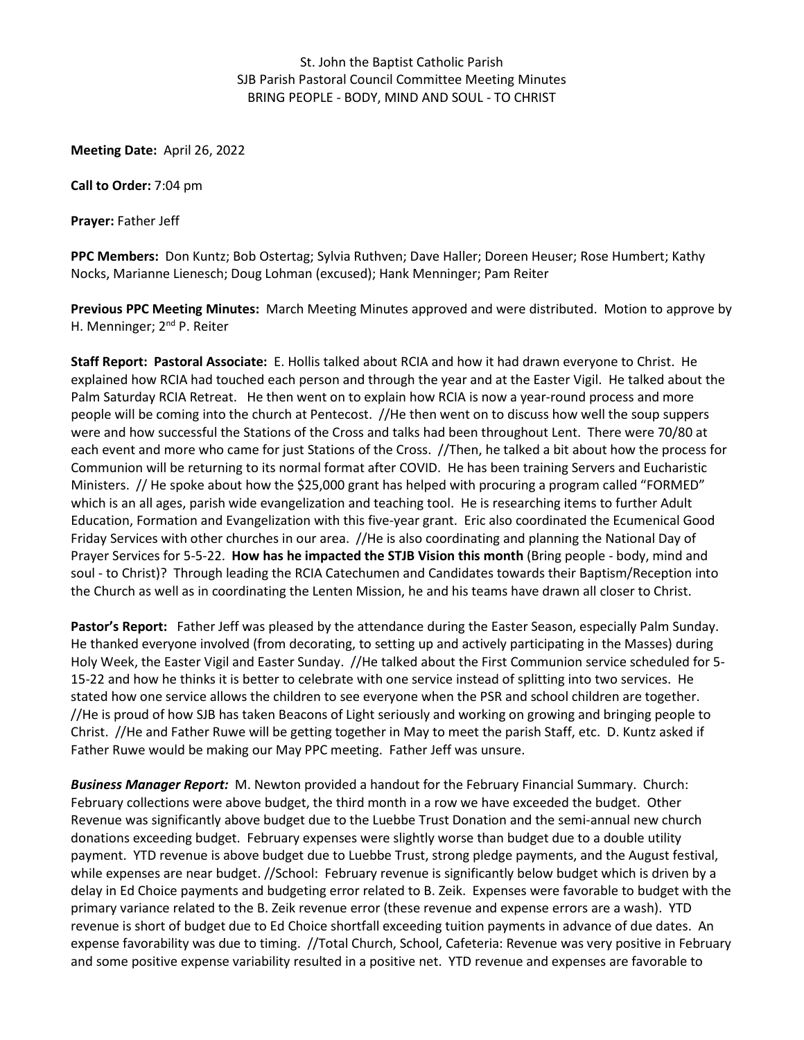## St. John the Baptist Catholic Parish SJB Parish Pastoral Council Committee Meeting Minutes BRING PEOPLE - BODY, MIND AND SOUL - TO CHRIST

**Meeting Date:** April 26, 2022

**Call to Order:** 7:04 pm

**Prayer:** Father Jeff

**PPC Members:** Don Kuntz; Bob Ostertag; Sylvia Ruthven; Dave Haller; Doreen Heuser; Rose Humbert; Kathy Nocks, Marianne Lienesch; Doug Lohman (excused); Hank Menninger; Pam Reiter

**Previous PPC Meeting Minutes:** March Meeting Minutes approved and were distributed. Motion to approve by H. Menninger; 2<sup>nd</sup> P. Reiter

**Staff Report: Pastoral Associate:** E. Hollis talked about RCIA and how it had drawn everyone to Christ. He explained how RCIA had touched each person and through the year and at the Easter Vigil. He talked about the Palm Saturday RCIA Retreat. He then went on to explain how RCIA is now a year-round process and more people will be coming into the church at Pentecost. //He then went on to discuss how well the soup suppers were and how successful the Stations of the Cross and talks had been throughout Lent. There were 70/80 at each event and more who came for just Stations of the Cross. //Then, he talked a bit about how the process for Communion will be returning to its normal format after COVID. He has been training Servers and Eucharistic Ministers. // He spoke about how the \$25,000 grant has helped with procuring a program called "FORMED" which is an all ages, parish wide evangelization and teaching tool. He is researching items to further Adult Education, Formation and Evangelization with this five-year grant. Eric also coordinated the Ecumenical Good Friday Services with other churches in our area. //He is also coordinating and planning the National Day of Prayer Services for 5-5-22. **How has he impacted the STJB Vision this month** (Bring people - body, mind and soul - to Christ)?Through leading the RCIA Catechumen and Candidates towards their Baptism/Reception into the Church as well as in coordinating the Lenten Mission, he and his teams have drawn all closer to Christ.

**Pastor's Report:** Father Jeff was pleased by the attendance during the Easter Season, especially Palm Sunday. He thanked everyone involved (from decorating, to setting up and actively participating in the Masses) during Holy Week, the Easter Vigil and Easter Sunday. //He talked about the First Communion service scheduled for 5- 15-22 and how he thinks it is better to celebrate with one service instead of splitting into two services. He stated how one service allows the children to see everyone when the PSR and school children are together. //He is proud of how SJB has taken Beacons of Light seriously and working on growing and bringing people to Christ. //He and Father Ruwe will be getting together in May to meet the parish Staff, etc. D. Kuntz asked if Father Ruwe would be making our May PPC meeting. Father Jeff was unsure.

*Business Manager Report:* M. Newton provided a handout for the February Financial Summary. Church: February collections were above budget, the third month in a row we have exceeded the budget. Other Revenue was significantly above budget due to the Luebbe Trust Donation and the semi-annual new church donations exceeding budget. February expenses were slightly worse than budget due to a double utility payment. YTD revenue is above budget due to Luebbe Trust, strong pledge payments, and the August festival, while expenses are near budget. //School: February revenue is significantly below budget which is driven by a delay in Ed Choice payments and budgeting error related to B. Zeik. Expenses were favorable to budget with the primary variance related to the B. Zeik revenue error (these revenue and expense errors are a wash). YTD revenue is short of budget due to Ed Choice shortfall exceeding tuition payments in advance of due dates. An expense favorability was due to timing. //Total Church, School, Cafeteria: Revenue was very positive in February and some positive expense variability resulted in a positive net. YTD revenue and expenses are favorable to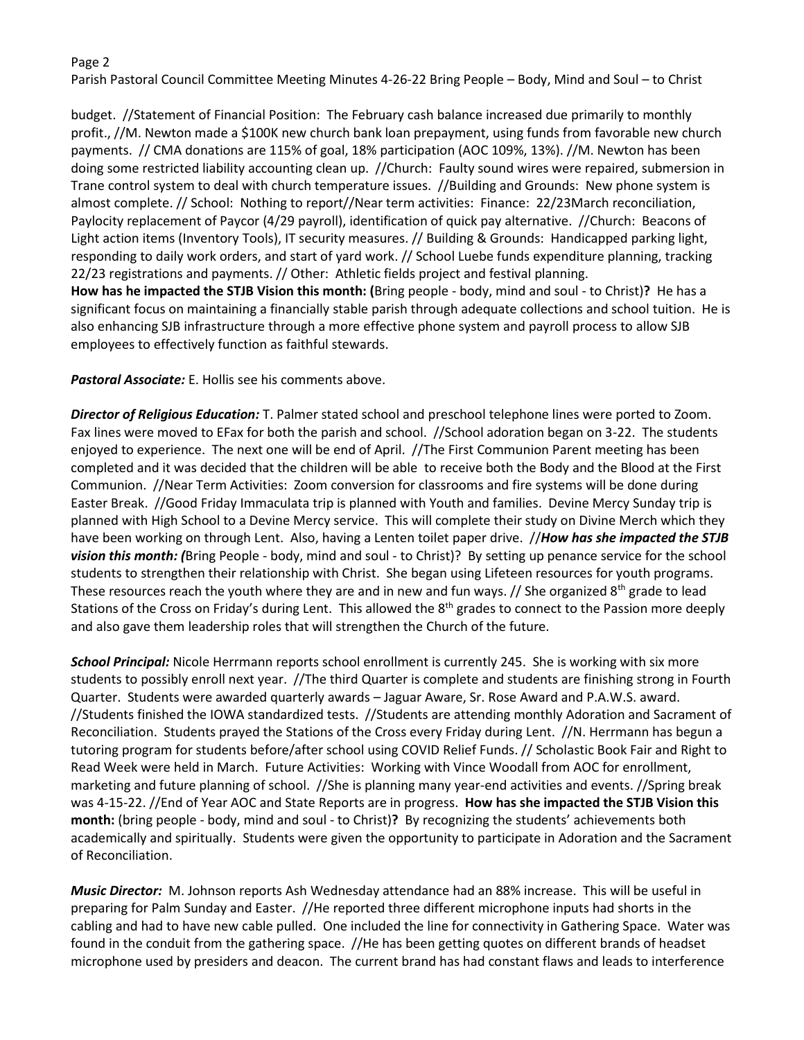## Page 2

Parish Pastoral Council Committee Meeting Minutes 4-26-22 Bring People – Body, Mind and Soul – to Christ

budget. //Statement of Financial Position: The February cash balance increased due primarily to monthly profit., //M. Newton made a \$100K new church bank loan prepayment, using funds from favorable new church payments. // CMA donations are 115% of goal, 18% participation (AOC 109%, 13%). //M. Newton has been doing some restricted liability accounting clean up. //Church: Faulty sound wires were repaired, submersion in Trane control system to deal with church temperature issues. //Building and Grounds: New phone system is almost complete. // School: Nothing to report//Near term activities: Finance: 22/23March reconciliation, Paylocity replacement of Paycor (4/29 payroll), identification of quick pay alternative. //Church: Beacons of Light action items (Inventory Tools), IT security measures. // Building & Grounds: Handicapped parking light, responding to daily work orders, and start of yard work. // School Luebe funds expenditure planning, tracking 22/23 registrations and payments. // Other: Athletic fields project and festival planning. **How has he impacted the STJB Vision this month: (**Bring people - body, mind and soul - to Christ)**?** He has a significant focus on maintaining a financially stable parish through adequate collections and school tuition. He is

also enhancing SJB infrastructure through a more effective phone system and payroll process to allow SJB employees to effectively function as faithful stewards.

*Pastoral Associate:* E. Hollis see his comments above.

*Director of Religious Education:* T. Palmer stated school and preschool telephone lines were ported to Zoom. Fax lines were moved to EFax for both the parish and school. //School adoration began on 3-22. The students enjoyed to experience. The next one will be end of April. //The First Communion Parent meeting has been completed and it was decided that the children will be able to receive both the Body and the Blood at the First Communion. //Near Term Activities: Zoom conversion for classrooms and fire systems will be done during Easter Break. //Good Friday Immaculata trip is planned with Youth and families. Devine Mercy Sunday trip is planned with High School to a Devine Mercy service. This will complete their study on Divine Merch which they have been working on through Lent. Also, having a Lenten toilet paper drive. //*How has she impacted the STJB vision this month: (*Bring People - body, mind and soul - to Christ)? By setting up penance service for the school students to strengthen their relationship with Christ. She began using Lifeteen resources for youth programs. These resources reach the youth where they are and in new and fun ways.  $\frac{1}{s}$  She organized 8<sup>th</sup> grade to lead Stations of the Cross on Friday's during Lent. This allowed the 8<sup>th</sup> grades to connect to the Passion more deeply and also gave them leadership roles that will strengthen the Church of the future.

*School Principal:* Nicole Herrmann reports school enrollment is currently 245. She is working with six more students to possibly enroll next year. //The third Quarter is complete and students are finishing strong in Fourth Quarter. Students were awarded quarterly awards – Jaguar Aware, Sr. Rose Award and P.A.W.S. award. //Students finished the IOWA standardized tests. //Students are attending monthly Adoration and Sacrament of Reconciliation. Students prayed the Stations of the Cross every Friday during Lent. //N. Herrmann has begun a tutoring program for students before/after school using COVID Relief Funds. // Scholastic Book Fair and Right to Read Week were held in March. Future Activities: Working with Vince Woodall from AOC for enrollment, marketing and future planning of school. //She is planning many year-end activities and events. //Spring break was 4-15-22. //End of Year AOC and State Reports are in progress. **How has she impacted the STJB Vision this month:** (bring people - body, mind and soul - to Christ)**?** By recognizing the students' achievements both academically and spiritually. Students were given the opportunity to participate in Adoration and the Sacrament of Reconciliation.

*Music Director:* M. Johnson reports Ash Wednesday attendance had an 88% increase. This will be useful in preparing for Palm Sunday and Easter. //He reported three different microphone inputs had shorts in the cabling and had to have new cable pulled. One included the line for connectivity in Gathering Space. Water was found in the conduit from the gathering space. //He has been getting quotes on different brands of headset microphone used by presiders and deacon. The current brand has had constant flaws and leads to interference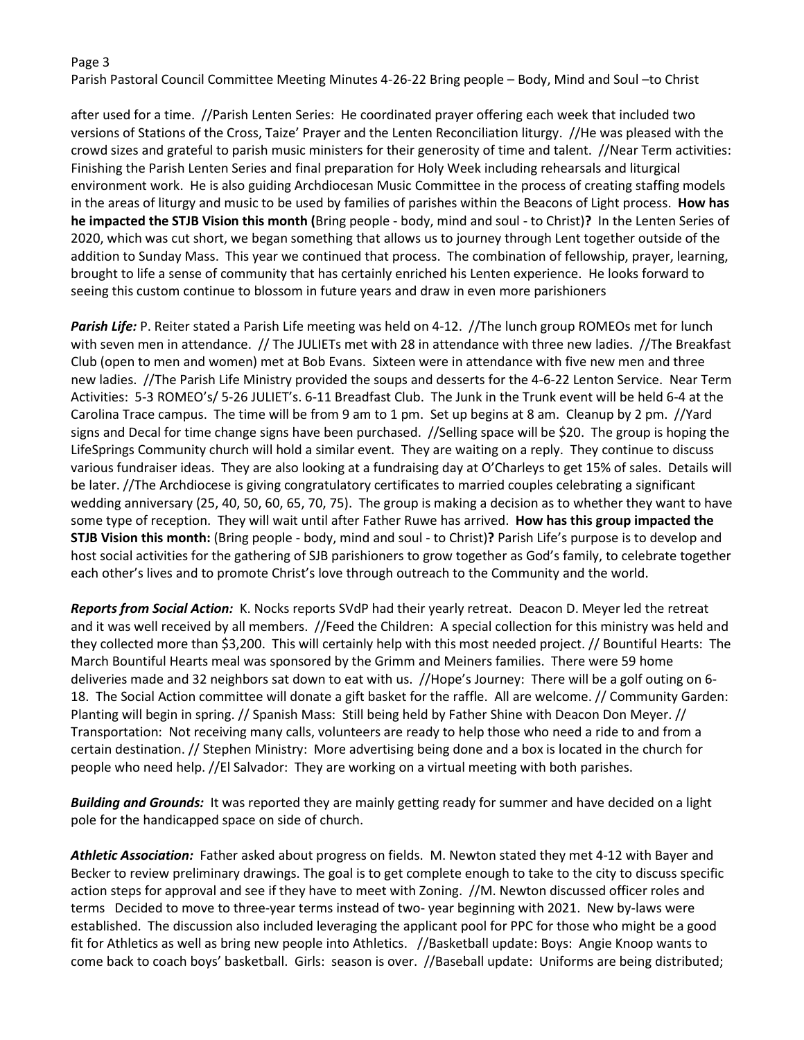## Page 3

Parish Pastoral Council Committee Meeting Minutes 4-26-22 Bring people – Body, Mind and Soul –to Christ

after used for a time. //Parish Lenten Series: He coordinated prayer offering each week that included two versions of Stations of the Cross, Taize' Prayer and the Lenten Reconciliation liturgy. //He was pleased with the crowd sizes and grateful to parish music ministers for their generosity of time and talent. //Near Term activities: Finishing the Parish Lenten Series and final preparation for Holy Week including rehearsals and liturgical environment work. He is also guiding Archdiocesan Music Committee in the process of creating staffing models in the areas of liturgy and music to be used by families of parishes within the Beacons of Light process. **How has he impacted the STJB Vision this month (**Bring people - body, mind and soul - to Christ)**?** In the Lenten Series of 2020, which was cut short, we began something that allows us to journey through Lent together outside of the addition to Sunday Mass. This year we continued that process. The combination of fellowship, prayer, learning, brought to life a sense of community that has certainly enriched his Lenten experience. He looks forward to seeing this custom continue to blossom in future years and draw in even more parishioners

*Parish Life:* P. Reiter stated a Parish Life meeting was held on 4-12. //The lunch group ROMEOs met for lunch with seven men in attendance. // The JULIETs met with 28 in attendance with three new ladies. //The Breakfast Club (open to men and women) met at Bob Evans. Sixteen were in attendance with five new men and three new ladies. //The Parish Life Ministry provided the soups and desserts for the 4-6-22 Lenton Service. Near Term Activities: 5-3 ROMEO's/ 5-26 JULIET's. 6-11 Breadfast Club. The Junk in the Trunk event will be held 6-4 at the Carolina Trace campus. The time will be from 9 am to 1 pm. Set up begins at 8 am. Cleanup by 2 pm. //Yard signs and Decal for time change signs have been purchased. //Selling space will be \$20. The group is hoping the LifeSprings Community church will hold a similar event. They are waiting on a reply. They continue to discuss various fundraiser ideas. They are also looking at a fundraising day at O'Charleys to get 15% of sales. Details will be later. //The Archdiocese is giving congratulatory certificates to married couples celebrating a significant wedding anniversary (25, 40, 50, 60, 65, 70, 75). The group is making a decision as to whether they want to have some type of reception. They will wait until after Father Ruwe has arrived. **How has this group impacted the STJB Vision this month:** (Bring people - body, mind and soul - to Christ)**?** Parish Life's purpose is to develop and host social activities for the gathering of SJB parishioners to grow together as God's family, to celebrate together each other's lives and to promote Christ's love through outreach to the Community and the world.

*Reports from Social Action:* K. Nocks reports SVdP had their yearly retreat. Deacon D. Meyer led the retreat and it was well received by all members. //Feed the Children: A special collection for this ministry was held and they collected more than \$3,200. This will certainly help with this most needed project. // Bountiful Hearts: The March Bountiful Hearts meal was sponsored by the Grimm and Meiners families. There were 59 home deliveries made and 32 neighbors sat down to eat with us. //Hope's Journey: There will be a golf outing on 6- 18. The Social Action committee will donate a gift basket for the raffle. All are welcome. // Community Garden: Planting will begin in spring. // Spanish Mass: Still being held by Father Shine with Deacon Don Meyer. // Transportation: Not receiving many calls, volunteers are ready to help those who need a ride to and from a certain destination. // Stephen Ministry: More advertising being done and a box is located in the church for people who need help. //El Salvador: They are working on a virtual meeting with both parishes.

*Building and Grounds:* It was reported they are mainly getting ready for summer and have decided on a light pole for the handicapped space on side of church.

*Athletic Association:* Father asked about progress on fields. M. Newton stated they met 4-12 with Bayer and Becker to review preliminary drawings. The goal is to get complete enough to take to the city to discuss specific action steps for approval and see if they have to meet with Zoning. //M. Newton discussed officer roles and terms Decided to move to three-year terms instead of two- year beginning with 2021. New by-laws were established. The discussion also included leveraging the applicant pool for PPC for those who might be a good fit for Athletics as well as bring new people into Athletics. //Basketball update: Boys: Angie Knoop wants to come back to coach boys' basketball. Girls: season is over. //Baseball update: Uniforms are being distributed;